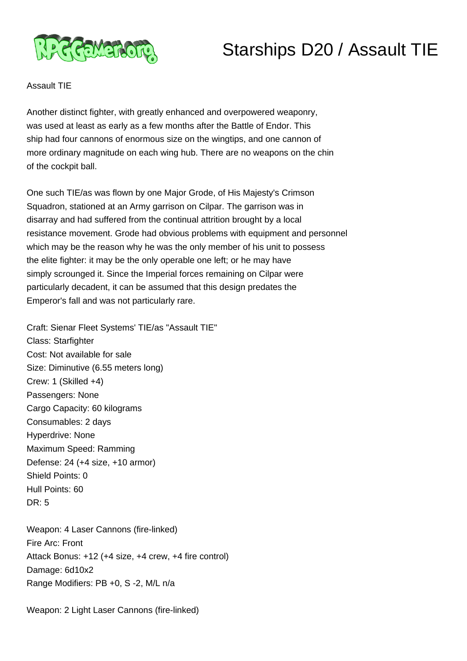

## Starships D20 / Assault TIE

## Assault TIE

Another distinct fighter, with greatly enhanced and overpowered weaponry, was used at least as early as a few months after the Battle of Endor. This ship had four cannons of enormous size on the wingtips, and one cannon of more ordinary magnitude on each wing hub. There are no weapons on the chin of the cockpit ball.

One such TIE/as was flown by one Major Grode, of His Majesty's Crimson Squadron, stationed at an Army garrison on Cilpar. The garrison was in disarray and had suffered from the continual attrition brought by a local resistance movement. Grode had obvious problems with equipment and personnel which may be the reason why he was the only member of his unit to possess the elite fighter: it may be the only operable one left; or he may have simply scrounged it. Since the Imperial forces remaining on Cilpar were particularly decadent, it can be assumed that this design predates the Emperor's fall and was not particularly rare.

Craft: Sienar Fleet Systems' TIE/as "Assault TIE" Class: Starfighter Cost: Not available for sale Size: Diminutive (6.55 meters long) Crew: 1 (Skilled +4) Passengers: None Cargo Capacity: 60 kilograms Consumables: 2 days Hyperdrive: None Maximum Speed: Ramming Defense: 24 (+4 size, +10 armor) Shield Points: 0 Hull Points: 60 DR: 5

Weapon: 4 Laser Cannons (fire-linked) Fire Arc: Front Attack Bonus: +12 (+4 size, +4 crew, +4 fire control) Damage: 6d10x2 Range Modifiers: PB +0, S -2, M/L n/a

Weapon: 2 Light Laser Cannons (fire-linked)